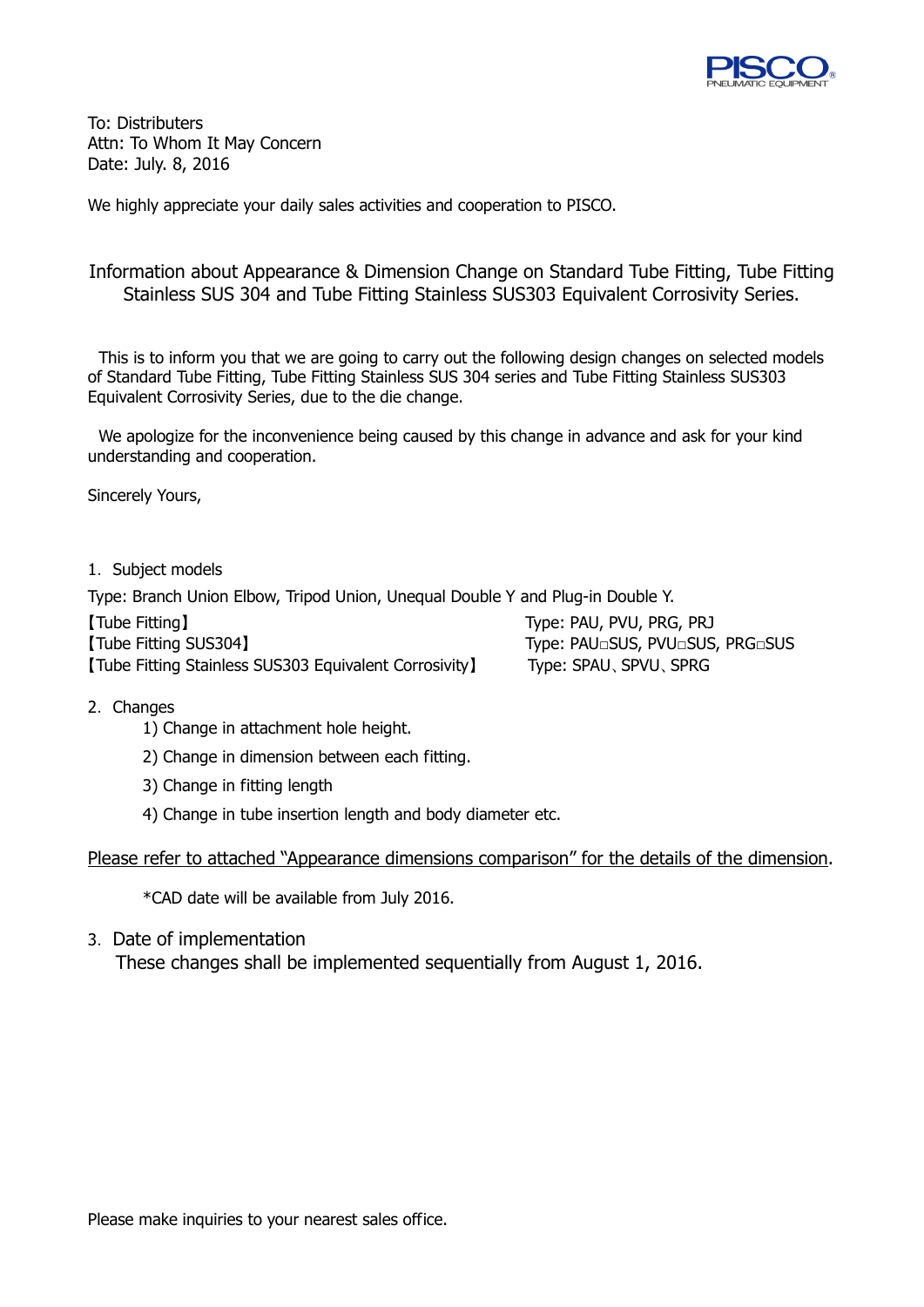

To: Distributers Attn: To Whom It May Concern Date: July. 8, 2016

We highly appreciate your daily sales activities and cooperation to PISCO.

### Information about Appearance & Dimension Change on Standard Tube Fitting, Tube Fitting Stainless SUS 304 and Tube Fitting Stainless SUS303 Equivalent Corrosivity Series.

This is to inform you that we are going to carry out the following design changes on selected models of Standard Tube Fitting, Tube Fitting Stainless SUS 304 series and Tube Fitting Stainless SUS303 Equivalent Corrosivity Series, due to the die change.

We apologize for the inconvenience being caused by this change in advance and ask for your kind understanding and cooperation.

Sincerely Yours,

### 1. Subject models

Type: Branch Union Elbow, Tripod Union, Unequal Double Y and Plug-in Double Y.

| [Tube Fitting]                                         | Type: PAU, PVU, PRG, PRJ |
|--------------------------------------------------------|--------------------------|
| [Tube Fitting SUS304]                                  |                          |
| [Tube Fitting Stainless SUS303 Equivalent Corrosivity] | Type: SPAU, SPVU, SPRG   |

#### 2. Changes

- 1) Change in attachment hole height.
- 2) Change in dimension between each fitting.
- 3) Change in fitting length
- 4) Change in tube insertion length and body diameter etc.

Please refer to attached "Appearance dimensions comparison" for the details of the dimension.

\*CAD date will be available from July 2016.

3. Date of implementation

These changes shall be implemented sequentially from August 1, 2016.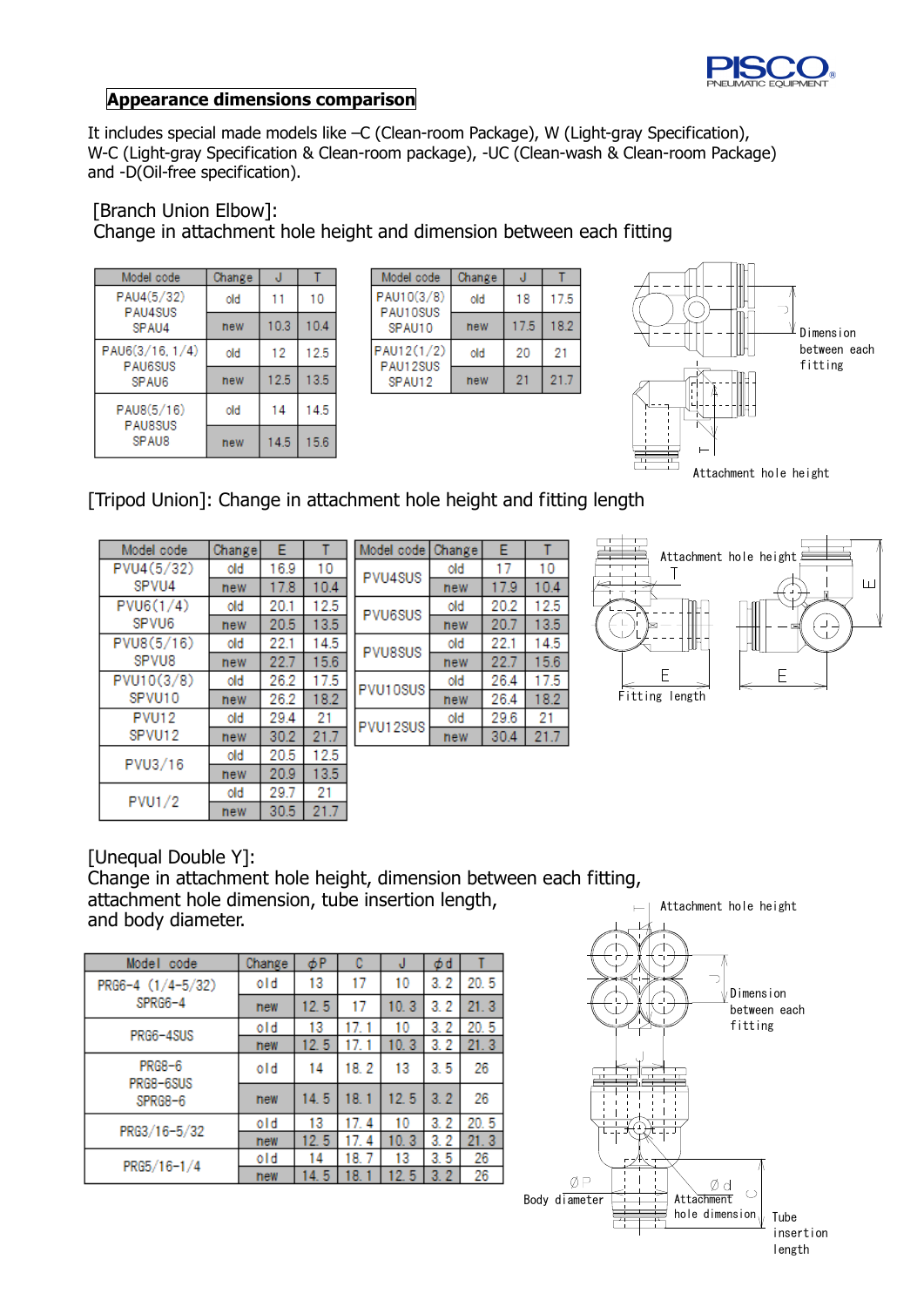

# **Appearance dimensions comparison**

It includes special made models like –C (Clean-room Package), W (Light-gray Specification), W-C (Light-gray Specification & Clean-room package), -UC (Clean-wash & Clean-room Package) and -D(Oil-free specification).

[Branch Union Elbow]: Change in attachment hole height and dimension between each fitting

| Model code                                 | Change | J    |      |
|--------------------------------------------|--------|------|------|
| PAU4(5/32)<br><b>PAU4SUS</b>               | old    | 11   | 10   |
| SPAU4                                      | new    | 10.3 | 10.4 |
| PAU6(3/16, 1/4)<br><b>PAU6SUS</b><br>SPAU6 | old    | 12   | 12.5 |
|                                            | new    | 12.5 | 13.5 |
| PAU8(5/16)<br><b>PAUSSUS</b><br>SPAU8      | old    | 14   | 14.5 |
|                                            | new    | 14.5 | 15.6 |

| model code             | unange |      |      |
|------------------------|--------|------|------|
| PAU10(3/8)<br>PAU10SUS | old    | 18   | 17.5 |
| SPAU10                 | new    | 17.5 | 18.2 |
| PAU12(1/2)<br>PAU12SUS | old    | 20   | 21   |
| SPAU12                 | new    | 21   | 21.7 |
|                        |        |      |      |



# [Tripod Union]: Change in attachment hole height and fitting length

| Model code    | Change | E    |      |
|---------------|--------|------|------|
| PVU4(5/32)    | old    | 16.9 | 10   |
| SPVU4         | new    | 17.8 | 10.4 |
| PVU6(1/4)     | old    | 20.1 | 12.5 |
| SPVU6         | new    | 20.5 | 13.5 |
| PVU8(5/16)    | old    | 22.1 | 14.5 |
| SPVU8         | new    | 22.7 | 15.6 |
| PVU10(3/8)    | old    | 26.2 | 17.5 |
| SPVU10        | new    | 26.2 | 18.2 |
| <b>PVU12</b>  | old    | 29.4 | 21   |
| SPVU12        | new    | 30.2 | 21.7 |
| PVU3/16       | old    | 20.5 | 12.5 |
|               | new    | 20.9 | 13.5 |
| <b>PVU1/2</b> | old    | 29.7 | 21   |
|               | new    | 30.5 | 21.7 |

| Model code     | Change | E    |      |
|----------------|--------|------|------|
| PVU4SUS        | old    | 17   | 10   |
|                | new    | 17.9 | 10.4 |
| PVU6SUS        | old    | 20.2 | 12.5 |
|                | new    | 20.7 | 13.5 |
| <b>PVU8SUS</b> | old    | 22.1 | 14.5 |
|                | new    | 22.7 | 15.6 |
| PVU10SUS       | old    | 26.4 | 17.5 |
|                | new    | 26.4 | 18.2 |
| PVU12SUS       | old    | 29.6 | 21   |
|                | new    | 30.4 | 21.7 |



[Unequal Double Y]:

Change in attachment hole height, dimension between each fitting, attachment hole dimension, tube insertion length, and body diameter.

| Model<br>code              | Change | φP   | C        | J    | φd      |      |
|----------------------------|--------|------|----------|------|---------|------|
| PRG6-4 (1/4-5/32)          | old    | 13   | 17       | 10   | 3.2     | 20.5 |
| SPRG6-4                    | new    | 12.5 | 17       | 10.3 | 3.2     | 21.3 |
| PRG6-4SUS                  | old    | 13   | 17.      | 10   | 3.2     | 20.5 |
|                            | new    | 12.5 | 17.      | 10.3 | 3.2     | 21.3 |
| <b>PRG8-6</b><br>PRG8-6SUS | old    | 14   | 18.2     | 13   | 3.5     | 26   |
| SPRG8-6                    | new    | 14.5 | 18.1     | 12.5 | 3.2     | 26   |
| PRG3/16-5/32               | old    | 13   | 17.<br>4 | 10   | 3.2     | 20.5 |
|                            | new    | 12.5 | 4<br>17. | 10.3 | 3.2     | 21.3 |
| $PRG5/16-1/4$              | old    | 14   | 18.      | 13   | 3.5     | 26   |
|                            | new    | 14.5 | 8.       | 12.5 | З.<br>2 | 26   |